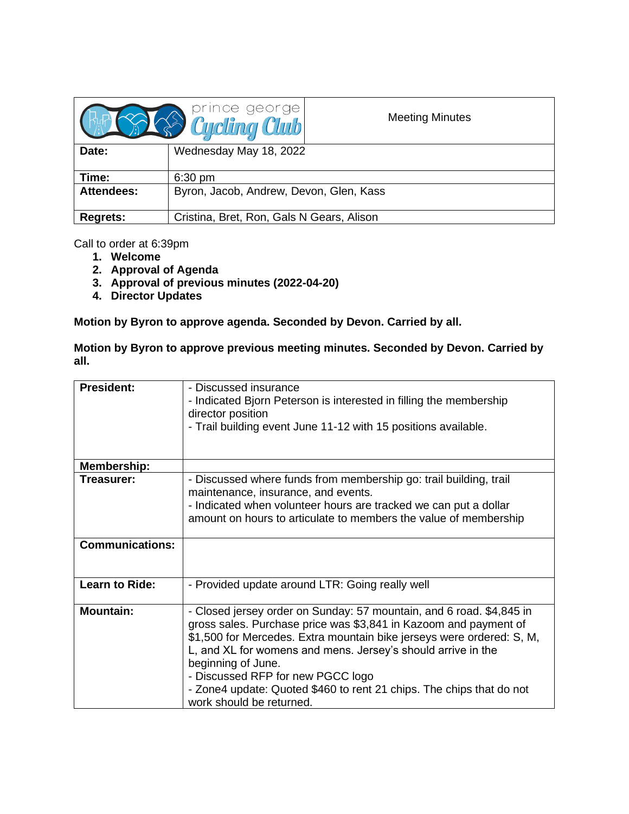|                   | <b>B</b> Cycling Club                     | <b>Meeting Minutes</b> |
|-------------------|-------------------------------------------|------------------------|
| Date:             | Wednesday May 18, 2022                    |                        |
| Time:             | $6:30$ pm                                 |                        |
| <b>Attendees:</b> | Byron, Jacob, Andrew, Devon, Glen, Kass   |                        |
| <b>Regrets:</b>   | Cristina, Bret, Ron, Gals N Gears, Alison |                        |

Call to order at 6:39pm

- **1. Welcome**
- **2. Approval of Agenda**
- **3. Approval of previous minutes (2022-04-20)**
- **4. Director Updates**

**Motion by Byron to approve agenda. Seconded by Devon. Carried by all.**

**Motion by Byron to approve previous meeting minutes. Seconded by Devon. Carried by all.**

| <b>President:</b>      | - Discussed insurance<br>- Indicated Bjorn Peterson is interested in filling the membership<br>director position<br>- Trail building event June 11-12 with 15 positions available.                                                                                                                                                                                                                                                               |
|------------------------|--------------------------------------------------------------------------------------------------------------------------------------------------------------------------------------------------------------------------------------------------------------------------------------------------------------------------------------------------------------------------------------------------------------------------------------------------|
| <b>Membership:</b>     |                                                                                                                                                                                                                                                                                                                                                                                                                                                  |
| Treasurer:             | - Discussed where funds from membership go: trail building, trail<br>maintenance, insurance, and events.<br>- Indicated when volunteer hours are tracked we can put a dollar<br>amount on hours to articulate to members the value of membership                                                                                                                                                                                                 |
| <b>Communications:</b> |                                                                                                                                                                                                                                                                                                                                                                                                                                                  |
| <b>Learn to Ride:</b>  | - Provided update around LTR: Going really well                                                                                                                                                                                                                                                                                                                                                                                                  |
| <b>Mountain:</b>       | - Closed jersey order on Sunday: 57 mountain, and 6 road. \$4,845 in<br>gross sales. Purchase price was \$3,841 in Kazoom and payment of<br>\$1,500 for Mercedes. Extra mountain bike jerseys were ordered: S, M,<br>L, and XL for womens and mens. Jersey's should arrive in the<br>beginning of June.<br>- Discussed RFP for new PGCC logo<br>- Zone4 update: Quoted \$460 to rent 21 chips. The chips that do not<br>work should be returned. |